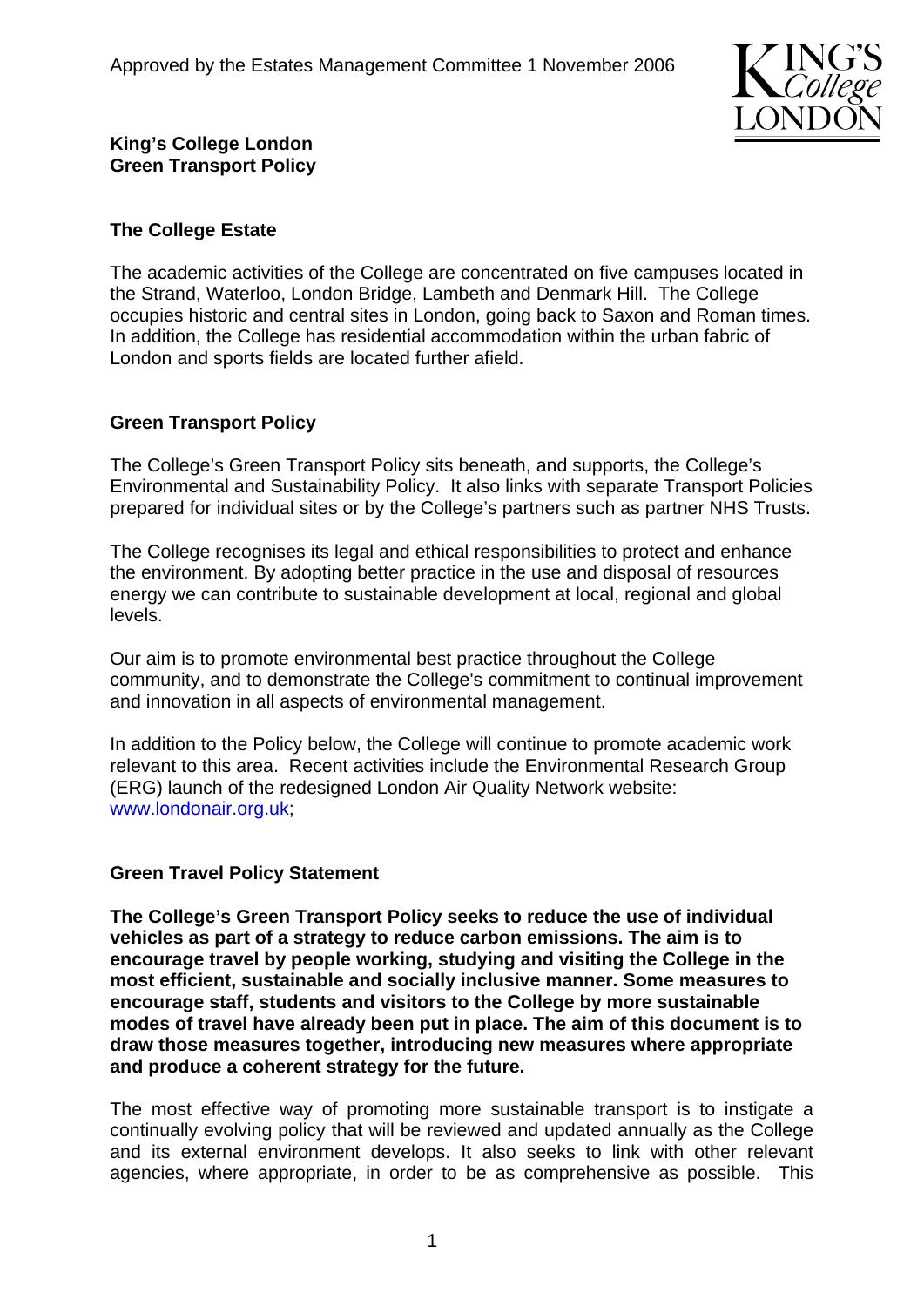

**King's College London Green Transport Policy** 

## **The College Estate**

The academic activities of the College are concentrated on five campuses located in the Strand, Waterloo, London Bridge, Lambeth and Denmark Hill. The College occupies historic and central sites in London, going back to Saxon and Roman times. In addition, the College has residential accommodation within the urban fabric of London and sports fields are located further afield.

## **Green Transport Policy**

The College's Green Transport Policy sits beneath, and supports, the College's Environmental and Sustainability Policy. It also links with separate Transport Policies prepared for individual sites or by the College's partners such as partner NHS Trusts.

The College recognises its legal and ethical responsibilities to protect and enhance the environment. By adopting better practice in the use and disposal of resources energy we can contribute to sustainable development at local, regional and global levels.

Our aim is to promote environmental best practice throughout the College community, and to demonstrate the College's commitment to continual improvement and innovation in all aspects of environmental management.

In addition to the Policy below, the College will continue to promote academic work relevant to this area. Recent activities include the Environmental Research Group (ERG) launch of the redesigned London Air Quality Network website: www.londonair.org.uk;

## **Green Travel Policy Statement**

**The College's Green Transport Policy seeks to reduce the use of individual vehicles as part of a strategy to reduce carbon emissions. The aim is to encourage travel by people working, studying and visiting the College in the most efficient, sustainable and socially inclusive manner. Some measures to encourage staff, students and visitors to the College by more sustainable modes of travel have already been put in place. The aim of this document is to draw those measures together, introducing new measures where appropriate and produce a coherent strategy for the future.** 

The most effective way of promoting more sustainable transport is to instigate a continually evolving policy that will be reviewed and updated annually as the College and its external environment develops. It also seeks to link with other relevant agencies, where appropriate, in order to be as comprehensive as possible. This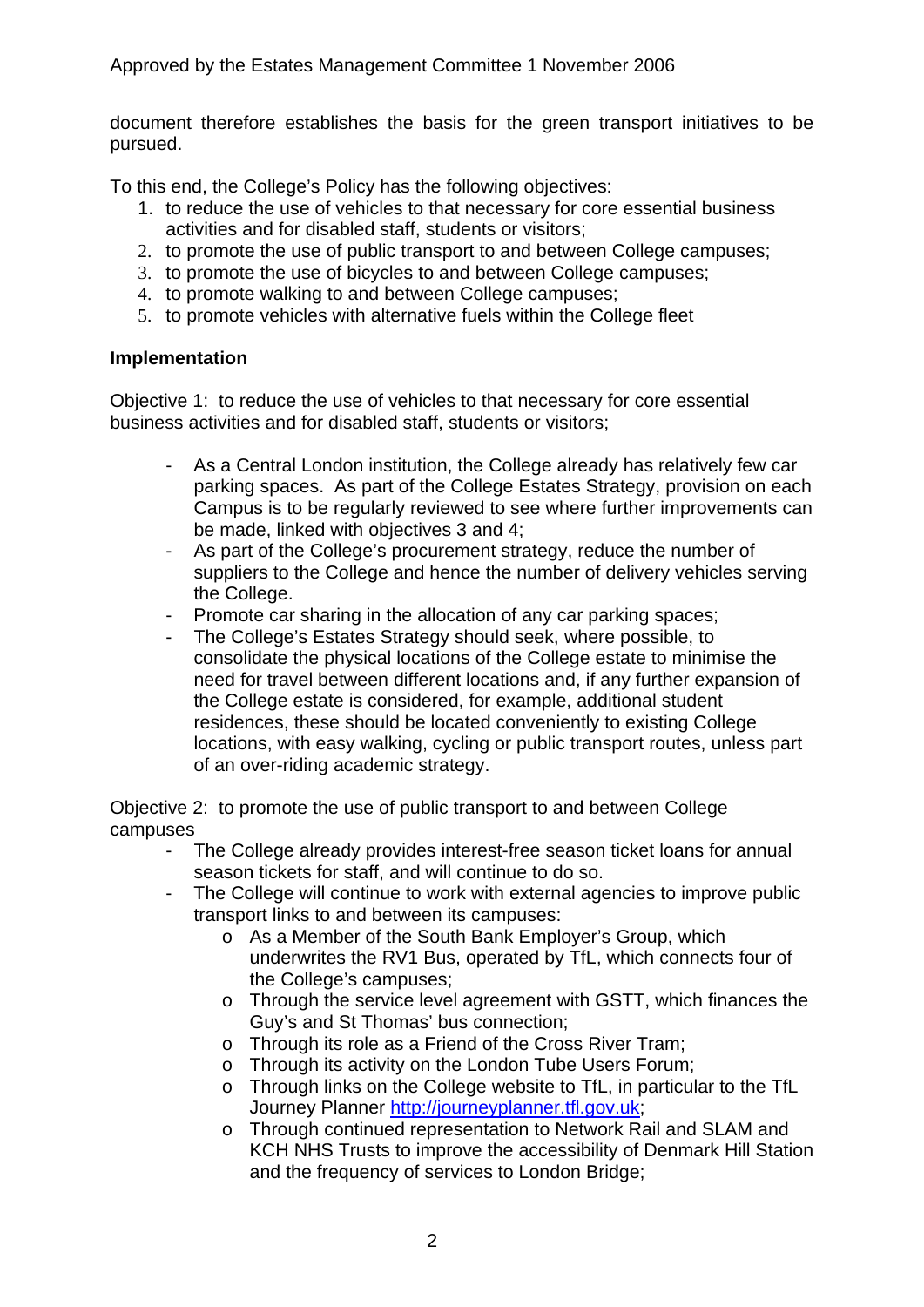document therefore establishes the basis for the green transport initiatives to be pursued.

To this end, the College's Policy has the following objectives:

- 1. to reduce the use of vehicles to that necessary for core essential business activities and for disabled staff, students or visitors;
- 2. to promote the use of public transport to and between College campuses;
- 3. to promote the use of bicycles to and between College campuses;
- 4. to promote walking to and between College campuses;
- 5. to promote vehicles with alternative fuels within the College fleet

## **Implementation**

Objective 1: to reduce the use of vehicles to that necessary for core essential business activities and for disabled staff, students or visitors;

- As a Central London institution, the College already has relatively few car parking spaces. As part of the College Estates Strategy, provision on each Campus is to be regularly reviewed to see where further improvements can be made, linked with objectives 3 and 4;
- As part of the College's procurement strategy, reduce the number of suppliers to the College and hence the number of delivery vehicles serving the College.
- Promote car sharing in the allocation of any car parking spaces;
- The College's Estates Strategy should seek, where possible, to consolidate the physical locations of the College estate to minimise the need for travel between different locations and, if any further expansion of the College estate is considered, for example, additional student residences, these should be located conveniently to existing College locations, with easy walking, cycling or public transport routes, unless part of an over-riding academic strategy.

Objective 2: to promote the use of public transport to and between College campuses

- The College already provides interest-free season ticket loans for annual season tickets for staff, and will continue to do so.
- The College will continue to work with external agencies to improve public transport links to and between its campuses:
	- o As a Member of the South Bank Employer's Group, which underwrites the RV1 Bus, operated by TfL, which connects four of the College's campuses;
	- o Through the service level agreement with GSTT, which finances the Guy's and St Thomas' bus connection;
	- o Through its role as a Friend of the Cross River Tram;
	- o Through its activity on the London Tube Users Forum;
	- o Through links on the College website to TfL, in particular to the TfL Journey Planner http://journeyplanner.tfl.gov.uk;
	- o Through continued representation to Network Rail and SLAM and KCH NHS Trusts to improve the accessibility of Denmark Hill Station and the frequency of services to London Bridge;